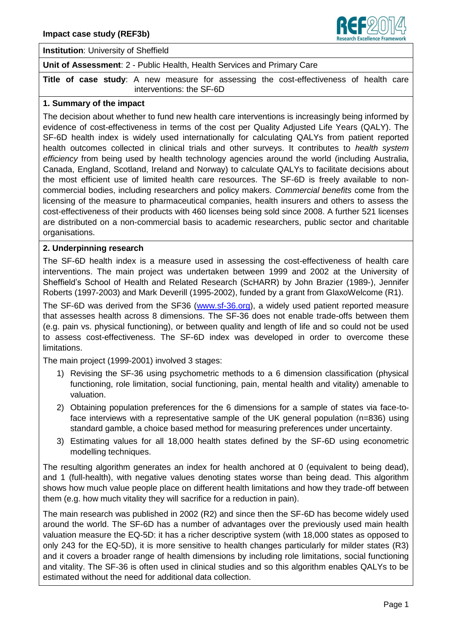

### **Institution**: University of Sheffield

**Unit of Assessment**: 2 - Public Health, Health Services and Primary Care

**Title of case study**: A new measure for assessing the cost-effectiveness of health care interventions: the SF-6D

#### **1. Summary of the impact**

The decision about whether to fund new health care interventions is increasingly being informed by evidence of cost-effectiveness in terms of the cost per Quality Adjusted Life Years (QALY). The SF-6D health index is widely used internationally for calculating QALYs from patient reported health outcomes collected in clinical trials and other surveys. It contributes to *health system efficiency* from being used by health technology agencies around the world (including Australia, Canada, England, Scotland, Ireland and Norway) to calculate QALYs to facilitate decisions about the most efficient use of limited health care resources. The SF-6D is freely available to noncommercial bodies, including researchers and policy makers. *Commercial benefits* come from the licensing of the measure to pharmaceutical companies, health insurers and others to assess the cost-effectiveness of their products with 460 licenses being sold since 2008. A further 521 licenses are distributed on a non-commercial basis to academic researchers, public sector and charitable organisations.

### **2. Underpinning research**

The SF-6D health index is a measure used in assessing the cost-effectiveness of health care interventions. The main project was undertaken between 1999 and 2002 at the University of Sheffield's School of Health and Related Research (ScHARR) by John Brazier (1989-), Jennifer Roberts (1997-2003) and Mark Deverill (1995-2002), funded by a grant from GlaxoWelcome (R1).

The SF-6D was derived from the SF36 [\(www.sf-36.org\)](http://www.sf-36.org/), a widely used patient reported measure that assesses health across 8 dimensions. The SF-36 does not enable trade-offs between them (e.g. pain vs. physical functioning), or between quality and length of life and so could not be used to assess cost-effectiveness. The SF-6D index was developed in order to overcome these limitations.

The main project (1999-2001) involved 3 stages:

- 1) Revising the SF-36 using psychometric methods to a 6 dimension classification (physical functioning, role limitation, social functioning, pain, mental health and vitality) amenable to valuation.
- 2) Obtaining population preferences for the 6 dimensions for a sample of states via face-toface interviews with a representative sample of the UK general population (n=836) using standard gamble, a choice based method for measuring preferences under uncertainty.
- 3) Estimating values for all 18,000 health states defined by the SF-6D using econometric modelling techniques.

The resulting algorithm generates an index for health anchored at 0 (equivalent to being dead), and 1 (full-health), with negative values denoting states worse than being dead. This algorithm shows how much value people place on different health limitations and how they trade-off between them (e.g. how much vitality they will sacrifice for a reduction in pain).

The main research was published in 2002 (R2) and since then the SF-6D has become widely used around the world. The SF-6D has a number of advantages over the previously used main health valuation measure the EQ-5D: it has a richer descriptive system (with 18,000 states as opposed to only 243 for the EQ-5D), it is more sensitive to health changes particularly for milder states (R3) and it covers a broader range of health dimensions by including role limitations, social functioning and vitality. The SF-36 is often used in clinical studies and so this algorithm enables QALYs to be estimated without the need for additional data collection.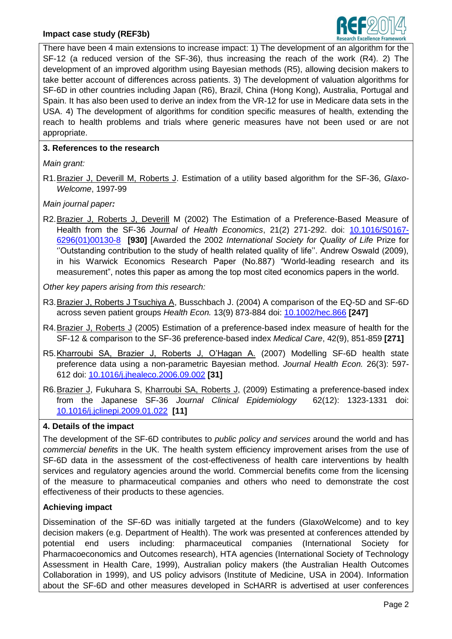

There have been 4 main extensions to increase impact: 1) The development of an algorithm for the SF-12 (a reduced version of the SF-36), thus increasing the reach of the work (R4). 2) The development of an improved algorithm using Bayesian methods (R5), allowing decision makers to take better account of differences across patients. 3) The development of valuation algorithms for SF-6D in other countries including Japan (R6), Brazil, China (Hong Kong), Australia, Portugal and Spain. It has also been used to derive an index from the VR-12 for use in Medicare data sets in the USA. 4) The development of algorithms for condition specific measures of health, extending the reach to health problems and trials where generic measures have not been used or are not appropriate.

## **3. References to the research**

*Main grant:*

R1.Brazier J, Deverill M, Roberts J. Estimation of a utility based algorithm for the SF-36, *Glaxo-Welcome*, 1997-99

*Main journal paper:*

R2.Brazier J, Roberts J, Deverill M (2002) The Estimation of a Preference-Based Measure of Health from the SF-36 *Journal of Health Economics*, 21(2) 271-292. doi: [10.1016/S0167-](http://dx.doi.org/10.1016/S0167-6296(01)00130-8) [6296\(01\)00130-8](http://dx.doi.org/10.1016/S0167-6296(01)00130-8) **[930]** [Awarded the 2002 *International Society for Quality of Life* Prize for ''Outstanding contribution to the study of health related quality of life''. Andrew Oswald (2009), in his Warwick Economics Research Paper (No.887) ["World-leading research and its](http://www2.warwick.ac.uk/fac/soc/economics/research/papers_2009/twerp_887.pdf)  [measurement"](http://www2.warwick.ac.uk/fac/soc/economics/research/papers_2009/twerp_887.pdf), notes this paper as among the top most cited economics papers in the world.

*Other key papers arising from this research:*

- R3.Brazier J, Roberts J Tsuchiya A, Busschbach J. (2004) A comparison of the EQ-5D and SF-6D across seven patient groups *Health Econ.* 13(9) 873-884 doi: [10.1002/hec.866](http://dx.doi.org/10.1002/hec.866) **[247]**
- R4.Brazier J, Roberts J (2005) Estimation of a preference-based index measure of health for the SF-12 & comparison to the SF-36 preference-based index *Medical Care*, 42(9), 851-859 **[271]**
- R5.Kharroubi SA, Brazier J, Roberts J, O'Hagan A. (2007) Modelling SF-6D health state preference data using a non-parametric Bayesian method. *Journal Health Econ.* 26(3): 597- 612 doi: [10.1016/j.jhealeco.2006.09.002](http://dx.doi.org/10.1016/j.jhealeco.2006.09.002) **[31]**
- R6. Brazier J, Fukuhara S, Kharroubi SA, Roberts J, (2009) Estimating a preference-based index from the Japanese SF-36 *Journal Clinical Epidemiology* 62(12): 1323-1331 doi: [10.1016/j.jclinepi.2009.01.022](http://dx.doi.org/10.1016/j.jclinepi.2009.01.022) **[11]**

# **4. Details of the impact**

The development of the SF-6D contributes to *public policy and services* around the world and has *commercial benefits* in the UK. The health system efficiency improvement arises from the use of SF-6D data in the assessment of the cost-effectiveness of health care interventions by health services and regulatory agencies around the world. Commercial benefits come from the licensing of the measure to pharmaceutical companies and others who need to demonstrate the cost effectiveness of their products to these agencies.

# **Achieving impact**

Dissemination of the SF-6D was initially targeted at the funders (GlaxoWelcome) and to key decision makers (e.g. Department of Health). The work was presented at conferences attended by potential end users including: pharmaceutical companies (International Society for Pharmacoeconomics and Outcomes research), HTA agencies (International Society of Technology Assessment in Health Care, 1999), Australian policy makers (the Australian Health Outcomes Collaboration in 1999), and US policy advisors (Institute of Medicine, USA in 2004). Information about the SF-6D and other measures developed in ScHARR is advertised at user conferences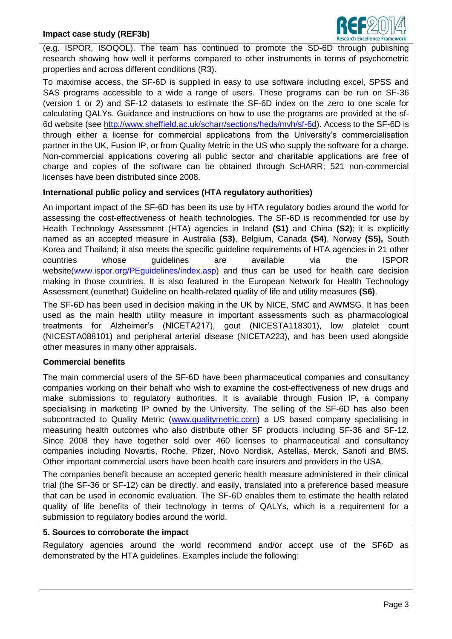

(e.g. ISPOR, ISOQOL). The team has continued to promote the SD-6D through publishing research showing how well it performs compared to other instruments in terms of psychometric properties and across different conditions (R3).

To maximise access, the SF-6D is supplied in easy to use software including excel, SPSS and SAS programs accessible to a wide a range of users. These programs can be run on SF-36 (version 1 or 2) and SF-12 datasets to estimate the SF-6D index on the zero to one scale for calculating QALYs. Guidance and instructions on how to use the programs are provided at the sf-6d website (see [http://www.sheffield.ac.uk/scharr/sections/heds/mvh/sf-6d\)](http://www.sheffield.ac.uk/scharr/sections/heds/mvh/sf-6d). Access to the SF-6D is through either a license for commercial applications from the University's commercialisation partner in the UK, Fusion IP, or from Quality Metric in the US who supply the software for a charge. Non-commercial applications covering all public sector and charitable applications are free of charge and copies of the software can be obtained through ScHARR; 521 non-commercial licenses have been distributed since 2008.

## **International public policy and services (HTA regulatory authorities)**

An important impact of the SF-6D has been its use by HTA regulatory bodies around the world for assessing the cost-effectiveness of health technologies. The SF-6D is recommended for use by Health Technology Assessment (HTA) agencies in Ireland **(S1)** and China **(S2)**; it is explicitly named as an accepted measure in Australia **(S3)**, Belgium, Canada **(S4)**, Norway **(S5),** South Korea and Thailand; it also meets the specific guideline requirements of HTA agencies in 21 other countries whose guidelines are available via the ISPOR website(www.ispor.org/PEquidelines/index.asp) and thus can be used for health care decision making in those countries. It is also featured in the European Network for Health Technology Assessment (eunethat) Guideline on health-related quality of life and utility measures **(S6)**.

The SF-6D has been used in decision making in the UK by NICE, SMC and AWMSG. It has been used as the main health utility measure in important assessments such as pharmacological treatments for Alzheimer's (NICETA217), gout (NICESTA118301), low platelet count (NICESTA088101) and peripheral arterial disease (NICETA223), and has been used alongside other measures in many other appraisals.

## **Commercial benefits**

The main commercial users of the SF-6D have been pharmaceutical companies and consultancy companies working on their behalf who wish to examine the cost-effectiveness of new drugs and make submissions to regulatory authorities. It is available through Fusion IP, a company specialising in marketing IP owned by the University. The selling of the SF-6D has also been subcontracted to Quality Metric [\(www.qualitymetric.com\)](http://www.qualitymetric.com/) a US based company specialising in measuring health outcomes who also distribute other SF products including SF-36 and SF-12. Since 2008 they have together sold over 460 licenses to pharmaceutical and consultancy companies including Novartis, Roche, Pfizer, Novo Nordisk, Astellas, Merck, Sanofi and BMS. Other important commercial users have been health care insurers and providers in the USA.

The companies benefit because an accepted generic health measure administered in their clinical trial (the SF-36 or SF-12) can be directly, and easily, translated into a preference based measure that can be used in economic evaluation. The SF-6D enables them to estimate the health related quality of life benefits of their technology in terms of QALYs, which is a requirement for a submission to regulatory bodies around the world.

## **5. Sources to corroborate the impact**

Regulatory agencies around the world recommend and/or accept use of the SF6D as demonstrated by the HTA guidelines. Examples include the following: